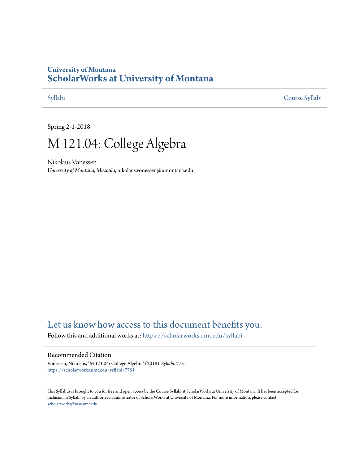# **University of Montana [ScholarWorks at University of Montana](https://scholarworks.umt.edu?utm_source=scholarworks.umt.edu%2Fsyllabi%2F7751&utm_medium=PDF&utm_campaign=PDFCoverPages)**

[Syllabi](https://scholarworks.umt.edu/syllabi?utm_source=scholarworks.umt.edu%2Fsyllabi%2F7751&utm_medium=PDF&utm_campaign=PDFCoverPages) [Course Syllabi](https://scholarworks.umt.edu/course_syllabi?utm_source=scholarworks.umt.edu%2Fsyllabi%2F7751&utm_medium=PDF&utm_campaign=PDFCoverPages)

Spring 2-1-2018

# M 121.04: College Algebra

Nikolaus Vonessen *University of Montana, Missoula*, nikolaus.vonessen@umontana.edu

# [Let us know how access to this document benefits you.](https://goo.gl/forms/s2rGfXOLzz71qgsB2)

Follow this and additional works at: [https://scholarworks.umt.edu/syllabi](https://scholarworks.umt.edu/syllabi?utm_source=scholarworks.umt.edu%2Fsyllabi%2F7751&utm_medium=PDF&utm_campaign=PDFCoverPages)

#### Recommended Citation

Vonessen, Nikolaus, "M 121.04: College Algebra" (2018). *Syllabi*. 7751. [https://scholarworks.umt.edu/syllabi/7751](https://scholarworks.umt.edu/syllabi/7751?utm_source=scholarworks.umt.edu%2Fsyllabi%2F7751&utm_medium=PDF&utm_campaign=PDFCoverPages)

This Syllabus is brought to you for free and open access by the Course Syllabi at ScholarWorks at University of Montana. It has been accepted for inclusion in Syllabi by an authorized administrator of ScholarWorks at University of Montana. For more information, please contact [scholarworks@mso.umt.edu](mailto:scholarworks@mso.umt.edu).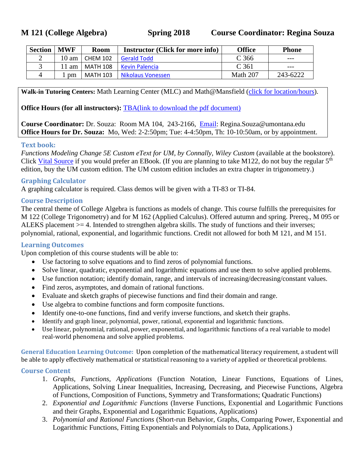**M 121 (College Algebra) Spring 2018 Course Coordinator: Regina Souza**

| <b>Section</b> | <b>MWF</b> | <b>Room</b>     | <b>Instructor (Click for more info)</b> | Office   | <b>Phone</b> |
|----------------|------------|-----------------|-----------------------------------------|----------|--------------|
|                | 10 am      | <b>CHEM 102</b> | <b>Gerald Todd</b>                      | C 366    | $- - -$      |
|                | am         | <b>MATH 108</b> | Kevin Palencia                          | C 361    | $- - -$      |
|                | pm         | <b>MATH 103</b> | Nikolaus Vonessen                       | Math 207 | 243-6222     |

**Walk-in Tutoring Centers:** Math Learning Center (MLC) and Math@Mansfield [\(click for location/hours\)](http://cas.umt.edu/math/undergraduate/all-students/free-tutoring.php).

**Office Hours (for all instructors):** [TBA\(link to download the pdf document\)](http://hsapp.hs.umt.edu/employee-database/index.php/pubtools/serveFile/files/666/oh.pdf)

**Course Coordinator:** Dr. Souza: Room MA 104, 243-2166, [Email:](mailto:%20Regina.Souza@umontana.edu) Regina.Souza@umontana.edu **Office Hours for Dr. Souza:** Mo, Wed: 2-2:50pm; Tue: 4-4:50pm, Th: 10-10:50am, or by appointment.

#### **Text book:**

*Functions Modeling Change 5E Custom eText for UM, by Connally, Wiley Custom* (available at the bookstore). Click [Vital Source](http://store.vitalsource.com/show/9781119178736) if you would prefer an EBook. (If you are planning to take M122, do not buy the regular 5<sup>th</sup> edition, buy the UM custom edition. The UM custom edition includes an extra chapter in trigonometry.)

#### **Graphing Calculator**

A graphing calculator is required. Class demos will be given with a TI-83 or TI-84.

#### **Course Description**

The central theme of College Algebra is functions as models of change. This course fulfills the prerequisites for M 122 (College Trigonometry) and for M 162 (Applied Calculus). Offered autumn and spring. Prereq., M 095 or ALEKS placement >= 4. Intended to strengthen algebra skills. The study of functions and their inverses; polynomial, rational, exponential, and logarithmic functions. Credit not allowed for both M 121, and M 151.

#### **Learning Outcomes**

Upon completion of this course students will be able to:

- Use factoring to solve equations and to find zeros of polynomial functions.
- Solve linear, quadratic, exponential and logarithmic equations and use them to solve applied problems.
- Use function notation; identify domain, range, and intervals of increasing/decreasing/constant values.
- Find zeros, asymptotes, and domain of rational functions.
- Evaluate and sketch graphs of piecewise functions and find their domain and range.
- Use algebra to combine functions and form composite functions.
- Identify one-to-one functions, find and verify inverse functions, and sketch their graphs.
- Identify and graph linear, polynomial, power, rational, exponential and logarithmic functions.
- Use linear, polynomial, rational, power, exponential, and logarithmic functions of a real variable to model real-world phenomena and solve applied problems.

**General Education Learning Outcome:** Upon completion of the mathematical literacy requirement, a student will be able to apply effectively mathematical or statistical reasoning to a variety of applied or theoretical problems.

#### **Course Content**

- 1. *Graphs, Functions, Applications* (Function Notation, Linear Functions, Equations of Lines, Applications, Solving Linear Inequalities, Increasing, Decreasing, and Piecewise Functions, Algebra of Functions, Composition of Functions, Symmetry and Transformations; Quadratic Functions)
- 2. *Exponential and Logarithmic Functions* (Inverse Functions, Exponential and Logarithmic Functions and their Graphs, Exponential and Logarithmic Equations, Applications)
- 3. *Polynomial and Rational Functions* (Short-run Behavior, Graphs, Comparing Power, Exponential and Logarithmic Functions, Fitting Exponentials and Polynomials to Data, Applications.)